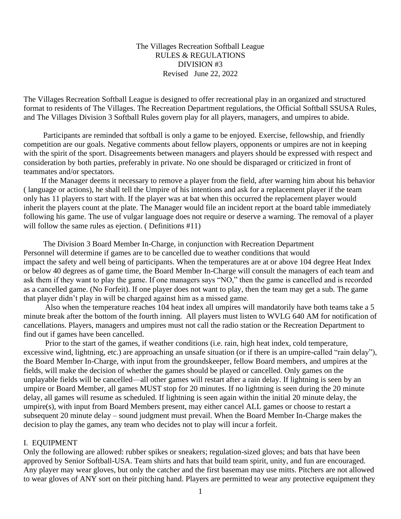#### The Villages Recreation Softball League RULES & REGULATIONS DIVISION #3 Revised June 22, 2022

The Villages Recreation Softball League is designed to offer recreational play in an organized and structured format to residents of The Villages. The Recreation Department regulations, the Official Softball SSUSA Rules, and The Villages Division 3 Softball Rules govern play for all players, managers, and umpires to abide.

 Participants are reminded that softball is only a game to be enjoyed. Exercise, fellowship, and friendly competition are our goals. Negative comments about fellow players, opponents or umpires are not in keeping with the spirit of the sport. Disagreements between managers and players should be expressed with respect and consideration by both parties, preferably in private. No one should be disparaged or criticized in front of teammates and/or spectators.

 If the Manager deems it necessary to remove a player from the field, after warning him about his behavior ( language or actions), he shall tell the Umpire of his intentions and ask for a replacement player if the team only has 11 players to start with. If the player was at bat when this occurred the replacement player would inherit the players count at the plate. The Manager would file an incident report at the board table immediately following his game. The use of vulgar language does not require or deserve a warning. The removal of a player will follow the same rules as ejection. (Definitions #11)

 The Division 3 Board Member In-Charge, in conjunction with Recreation Department Personnel will determine if games are to be cancelled due to weather conditions that would impact the safety and well being of participants. When the temperatures are at or above 104 degree Heat Index or below 40 degrees as of game time, the Board Member In-Charge will consult the managers of each team and ask them if they want to play the game. If one managers says "NO," then the game is cancelled and is recorded as a cancelled game. (No Forfeit). If one player does not want to play, then the team may get a sub. The game that player didn't play in will be charged against him as a missed game.

 Also when the temperature reaches 104 heat index all umpires will mandatorily have both teams take a 5 minute break after the bottom of the fourth inning. All players must listen to WVLG 640 AM for notification of cancellations. Players, managers and umpires must not call the radio station or the Recreation Department to find out if games have been cancelled.

 Prior to the start of the games, if weather conditions (i.e. rain, high heat index, cold temperature, excessive wind, lightning, etc.) are approaching an unsafe situation (or if there is an umpire-called "rain delay"), the Board Member In-Charge, with input from the groundskeeper, fellow Board members, and umpires at the fields, will make the decision of whether the games should be played or cancelled. Only games on the unplayable fields will be cancelled—all other games will restart after a rain delay. If lightning is seen by an umpire or Board Member, all games MUST stop for 20 minutes. If no lightning is seen during the 20 minute delay, all games will resume as scheduled. If lightning is seen again within the initial 20 minute delay, the umpire(s), with input from Board Members present, may either cancel ALL games or choose to restart a subsequent 20 minute delay – sound judgment must prevail. When the Board Member In-Charge makes the decision to play the games, any team who decides not to play will incur a forfeit.

#### I. EQUIPMENT

Only the following are allowed: rubber spikes or sneakers; regulation-sized gloves; and bats that have been approved by Senior Softball-USA. Team shirts and hats that build team spirit, unity, and fun are encouraged. Any player may wear gloves, but only the catcher and the first baseman may use mitts. Pitchers are not allowed to wear gloves of ANY sort on their pitching hand. Players are permitted to wear any protective equipment they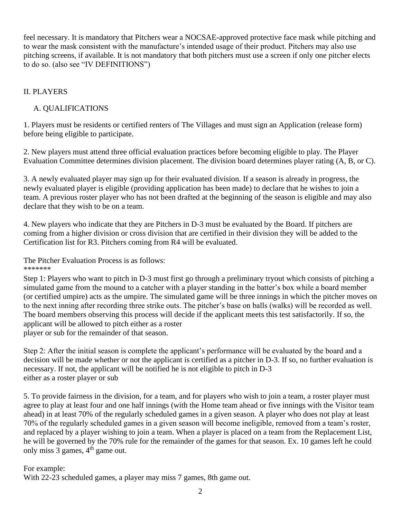feel necessary. It is mandatory that Pitchers wear a NOCSAE-approved protective face mask while pitching and to wear the mask consistent with the manufacture's intended usage of their product. Pitchers may also use pitching screens, if available. It is not mandatory that both pitchers must use a screen if only one pitcher elects to do so. (also see "IV DEFINITIONS")

# II. PLAYERS

# A. QUALIFICATIONS

1. Players must be residents or certified renters of The Villages and must sign an Application (release form) before being eligible to participate.

2. New players must attend three official evaluation practices before becoming eligible to play. The Player Evaluation Committee determines division placement. The division board determines player rating (A, B, or C).

3. A newly evaluated player may sign up for their evaluated division. If a season is already in progress, the newly evaluated player is eligible (providing application has been made) to declare that he wishes to join a team. A previous roster player who has not been drafted at the beginning of the season is eligible and may also declare that they wish to be on a team.

4. New players who indicate that they are Pitchers in D-3 must be evaluated by the Board. If pitchers are coming from a higher division or cross division that are certified in their division they will be added to the Certification list for R3. Pitchers coming from R4 will be evaluated.

The Pitcher Evaluation Process is as follows:

\*\*\*\*\*\*\*

Step 1: Players who want to pitch in D-3 must first go through a preliminary tryout which consists of pitching a simulated game from the mound to a catcher with a player standing in the batter's box while a board member (or certified umpire) acts as the umpire. The simulated game will be three innings in which the pitcher moves on to the next inning after recording three strike outs. The pitcher's base on balls (walks) will be recorded as well. The board members observing this process will decide if the applicant meets this test satisfactorily. If so, the applicant will be allowed to pitch either as a roster player or sub for the remainder of that season.

Step 2: After the initial season is complete the applicant's performance will be evaluated by the board and a decision will be made whether or not the applicant is certified as a pitcher in D-3. If so, no further evaluation is necessary. If not, the applicant will be notified he is not eligible to pitch in D-3 either as a roster player or sub

5. To provide fairness in the division, for a team, and for players who wish to join a team, a roster player must agree to play at least four and one half innings (with the Home team ahead or five innings with the Visitor team ahead) in at least 70% of the regularly scheduled games in a given season. A player who does not play at least 70% of the regularly scheduled games in a given season will become ineligible, removed from a team's roster, and replaced by a player wishing to join a team. When a player is placed on a team from the Replacement List, he will be governed by the 70% rule for the remainder of the games for that season. Ex. 10 games left he could only miss  $3$  games,  $4<sup>th</sup>$  game out.

# For example:

With 22-23 scheduled games, a player may miss 7 games, 8th game out.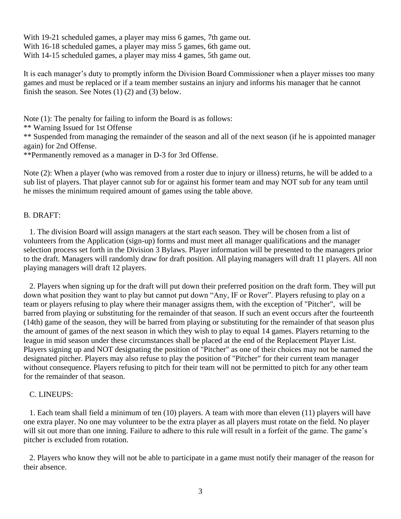With 19-21 scheduled games, a player may miss 6 games, 7th game out. With 16-18 scheduled games, a player may miss 5 games, 6th game out. With 14-15 scheduled games, a player may miss 4 games, 5th game out.

It is each manager's duty to promptly inform the Division Board Commissioner when a player misses too many games and must be replaced or if a team member sustains an injury and informs his manager that he cannot finish the season. See Notes (1) (2) and (3) below.

Note (1): The penalty for failing to inform the Board is as follows:

\*\* Warning Issued for 1st Offense

\*\* Suspended from managing the remainder of the season and all of the next season (if he is appointed manager again) for 2nd Offense.

\*\*Permanently removed as a manager in D-3 for 3rd Offense.

Note (2): When a player (who was removed from a roster due to injury or illness) returns, he will be added to a sub list of players. That player cannot sub for or against his former team and may NOT sub for any team until he misses the minimum required amount of games using the table above.

# B. DRAFT:

 1. The division Board will assign managers at the start each season. They will be chosen from a list of volunteers from the Application (sign-up) forms and must meet all manager qualifications and the manager selection process set forth in the Division 3 Bylaws. Player information will be presented to the managers prior to the draft. Managers will randomly draw for draft position. All playing managers will draft 11 players. All non playing managers will draft 12 players.

 2. Players when signing up for the draft will put down their preferred position on the draft form. They will put down what position they want to play but cannot put down "Any, IF or Rover". Players refusing to play on a team or players refusing to play where their manager assigns them, with the exception of "Pitcher", will be barred from playing or substituting for the remainder of that season. If such an event occurs after the fourteenth (14th) game of the season, they will be barred from playing or substituting for the remainder of that season plus the amount of games of the next season in which they wish to play to equal 14 games. Players returning to the league in mid season under these circumstances shall be placed at the end of the Replacement Player List. Players signing up and NOT designating the position of "Pitcher" as one of their choices may not be named the designated pitcher. Players may also refuse to play the position of "Pitcher" for their current team manager without consequence. Players refusing to pitch for their team will not be permitted to pitch for any other team for the remainder of that season.

# C. LINEUPS:

 1. Each team shall field a minimum of ten (10) players. A team with more than eleven (11) players will have one extra player. No one may volunteer to be the extra player as all players must rotate on the field. No player will sit out more than one inning. Failure to adhere to this rule will result in a forfeit of the game. The game's pitcher is excluded from rotation.

 2. Players who know they will not be able to participate in a game must notify their manager of the reason for their absence.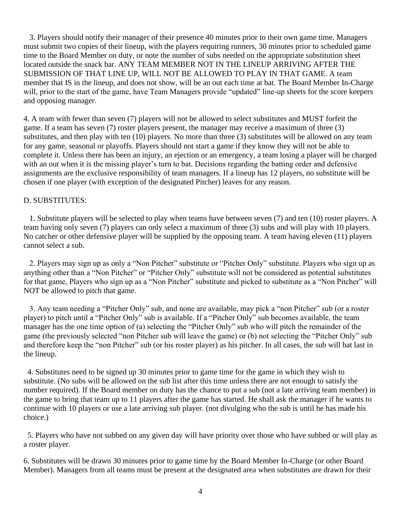3. Players should notify their manager of their presence 40 minutes prior to their own game time. Managers must submit two copies of their lineup, with the players requiring runners, 30 minutes prior to scheduled game time to the Board Member on duty, or note the number of subs needed on the appropriate substitution sheet located outside the snack bar. ANY TEAM MEMBER NOT IN THE LINEUP ARRIVING AFTER THE SUBMISSION OF THAT LINE UP, WILL NOT BE ALLOWED TO PLAY IN THAT GAME. A team member that IS in the lineup, and does not show, will be an out each time at bat. The Board Member In-Charge will, prior to the start of the game, have Team Managers provide "updated" line-up sheets for the score keepers and opposing manager.

4. A team with fewer than seven (7) players will not be allowed to select substitutes and MUST forfeit the game. If a team has seven (7) roster players present, the manager may receive a maximum of three (3) substitutes, and then play with ten (10) players. No more than three (3) substitutes will be allowed on any team for any game, seasonal or playoffs. Players should not start a game if they know they will not be able to complete it. Unless there has been an injury, an ejection or an emergency, a team losing a player will be charged with an out when it is the missing player's turn to bat. Decisions regarding the batting order and defensive assignments are the exclusive responsibility of team managers. If a lineup has 12 players, no substitute will be chosen if one player (with exception of the designated Pitcher) leaves for any reason.

### D. SUBSTITUTES:

 1. Substitute players will be selected to play when teams have between seven (7) and ten (10) roster players. A team having only seven (7) players can only select a maximum of three (3) subs and will play with 10 players. No catcher or other defensive player will be supplied by the opposing team. A team having eleven (11) players cannot select a sub.

 2. Players may sign up as only a "Non Pitcher" substitute or "Pitcher Only" substitute. Players who sign up as anything other than a "Non Pitcher" or "Pitcher Only" substitute will not be considered as potential substitutes for that game, Players who sign up as a "Non Pitcher" substitute and picked to substitute as a "Non Pitcher" will NOT be allowed to pitch that game.

 3. Any team needing a "Pitcher Only" sub, and none are available, may pick a "non Pitcher" sub (or a roster player) to pitch until a "Pitcher Only" sub is available. If a "Pitcher Only" sub becomes available, the team manager has the one time option of (a) selecting the "Pitcher Only" sub who will pitch the remainder of the game (the previously selected "non Pitcher sub will leave the game) or (b) not selecting the "Pitcher Only" sub and therefore keep the "non Pitcher" sub (or his roster player) as his pitcher. In all cases, the sub will bat last in the lineup.

 4. Substitutes need to be signed up 30 minutes prior to game time for the game in which they wish to substitute. (No subs will be allowed on the sub list after this time unless there are not enough to satisfy the number required). If the Board member on duty has the chance to put a sub (not a late arriving team member) in the game to bring that team up to 11 players after the game has started. He shall ask the manager if he wants to continue with 10 players or use a late arriving sub player. (not divulging who the sub is until he has made his choice.)

 5. Players who have not subbed on any given day will have priority over those who have subbed or will play as a roster player.

6. Substitutes will be drawn 30 minutes prior to game time by the Board Member In-Charge (or other Board Member). Managers from all teams must be present at the designated area when substitutes are drawn for their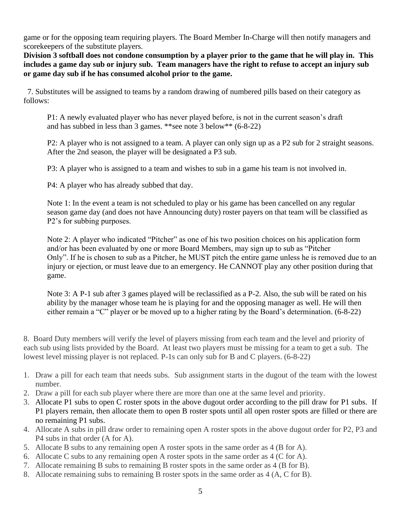game or for the opposing team requiring players. The Board Member In-Charge will then notify managers and scorekeepers of the substitute players.

**Division 3 softball does not condone consumption by a player prior to the game that he will play in. This includes a game day sub or injury sub. Team managers have the right to refuse to accept an injury sub or game day sub if he has consumed alcohol prior to the game.**

 7. Substitutes will be assigned to teams by a random drawing of numbered pills based on their category as follows:

P1: A newly evaluated player who has never played before, is not in the current season's draft and has subbed in less than 3 games. \*\*see note 3 below\*\* (6-8-22)

P2: A player who is not assigned to a team. A player can only sign up as a P2 sub for 2 straight seasons. After the 2nd season, the player will be designated a P3 sub.

P3: A player who is assigned to a team and wishes to sub in a game his team is not involved in.

P4: A player who has already subbed that day.

Note 1: In the event a team is not scheduled to play or his game has been cancelled on any regular season game day (and does not have Announcing duty) roster payers on that team will be classified as P2's for subbing purposes.

Note 2: A player who indicated "Pitcher" as one of his two position choices on his application form and/or has been evaluated by one or more Board Members, may sign up to sub as "Pitcher Only". If he is chosen to sub as a Pitcher, he MUST pitch the entire game unless he is removed due to an injury or ejection, or must leave due to an emergency. He CANNOT play any other position during that game.

Note 3: A P-1 sub after 3 games played will be reclassified as a P-2. Also, the sub will be rated on his ability by the manager whose team he is playing for and the opposing manager as well. He will then either remain a "C" player or be moved up to a higher rating by the Board's determination. (6-8-22)

8. Board Duty members will verify the level of players missing from each team and the level and priority of each sub using lists provided by the Board. At least two players must be missing for a team to get a sub. The lowest level missing player is not replaced. P-1s can only sub for B and C players. (6-8-22)

- 1. Draw a pill for each team that needs subs. Sub assignment starts in the dugout of the team with the lowest number.
- 2. Draw a pill for each sub player where there are more than one at the same level and priority.
- 3. Allocate P1 subs to open C roster spots in the above dugout order according to the pill draw for P1 subs. If P1 players remain, then allocate them to open B roster spots until all open roster spots are filled or there are no remaining P1 subs.
- 4. Allocate A subs in pill draw order to remaining open A roster spots in the above dugout order for P2, P3 and P4 subs in that order (A for A).
- 5. Allocate B subs to any remaining open A roster spots in the same order as 4 (B for A).
- 6. Allocate C subs to any remaining open A roster spots in the same order as 4 (C for A).
- 7. Allocate remaining B subs to remaining B roster spots in the same order as 4 (B for B).
- 8. Allocate remaining subs to remaining B roster spots in the same order as 4 (A, C for B).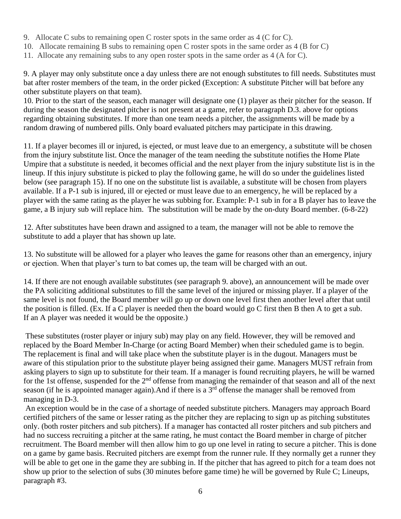- 9. Allocate C subs to remaining open C roster spots in the same order as 4 (C for C).
- 10. Allocate remaining B subs to remaining open C roster spots in the same order as 4 (B for C)
- 11. Allocate any remaining subs to any open roster spots in the same order as 4 (A for C).

9. A player may only substitute once a day unless there are not enough substitutes to fill needs. Substitutes must bat after roster members of the team, in the order picked (Exception: A substitute Pitcher will bat before any other substitute players on that team).

10. Prior to the start of the season, each manager will designate one (1) player as their pitcher for the season. If during the season the designated pitcher is not present at a game, refer to paragraph D.3. above for options regarding obtaining substitutes. If more than one team needs a pitcher, the assignments will be made by a random drawing of numbered pills. Only board evaluated pitchers may participate in this drawing.

11. If a player becomes ill or injured, is ejected, or must leave due to an emergency, a substitute will be chosen from the injury substitute list. Once the manager of the team needing the substitute notifies the Home Plate Umpire that a substitute is needed, it becomes official and the next player from the injury substitute list is in the lineup. If this injury substitute is picked to play the following game, he will do so under the guidelines listed below (see paragraph 15). If no one on the substitute list is available, a substitute will be chosen from players available. If a P-1 sub is injured, ill or ejected or must leave due to an emergency, he will be replaced by a player with the same rating as the player he was subbing for. Example: P-1 sub in for a B player has to leave the game, a B injury sub will replace him. The substitution will be made by the on-duty Board member. (6-8-22)

12. After substitutes have been drawn and assigned to a team, the manager will not be able to remove the substitute to add a player that has shown up late.

13. No substitute will be allowed for a player who leaves the game for reasons other than an emergency, injury or ejection. When that player's turn to bat comes up, the team will be charged with an out.

14. If there are not enough available substitutes (see paragraph 9. above), an announcement will be made over the PA soliciting additional substitutes to fill the same level of the injured or missing player. If a player of the same level is not found, the Board member will go up or down one level first then another level after that until the position is filled. (Ex. If a C player is needed then the board would go C first then B then A to get a sub. If an A player was needed it would be the opposite.)

These substitutes (roster player or injury sub) may play on any field. However, they will be removed and replaced by the Board Member In-Charge (or acting Board Member) when their scheduled game is to begin. The replacement is final and will take place when the substitute player is in the dugout. Managers must be aware of this stipulation prior to the substitute player being assigned their game. Managers MUST refrain from asking players to sign up to substitute for their team. If a manager is found recruiting players, he will be warned for the 1st offense, suspended for the 2<sup>nd</sup> offense from managing the remainder of that season and all of the next season (if he is appointed manager again). And if there is a  $3<sup>rd</sup>$  offense the manager shall be removed from managing in D-3.

An exception would be in the case of a shortage of needed substitute pitchers. Managers may approach Board certified pitchers of the same or lesser rating as the pitcher they are replacing to sign up as pitching substitutes only. (both roster pitchers and sub pitchers). If a manager has contacted all roster pitchers and sub pitchers and had no success recruiting a pitcher at the same rating, he must contact the Board member in charge of pitcher recruitment. The Board member will then allow him to go up one level in rating to secure a pitcher. This is done on a game by game basis. Recruited pitchers are exempt from the runner rule. If they normally get a runner they will be able to get one in the game they are subbing in. If the pitcher that has agreed to pitch for a team does not show up prior to the selection of subs (30 minutes before game time) he will be governed by Rule C; Lineups, paragraph #3.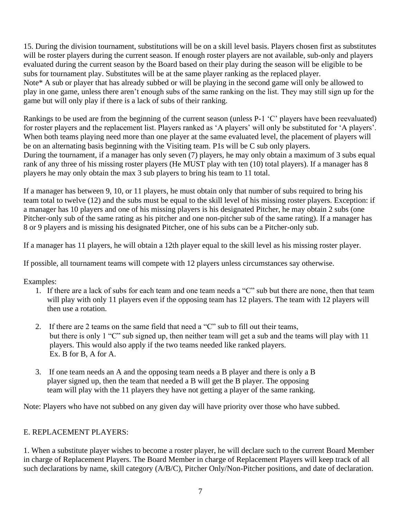15. During the division tournament, substitutions will be on a skill level basis. Players chosen first as substitutes will be roster players during the current season. If enough roster players are not available, sub-only and players evaluated during the current season by the Board based on their play during the season will be eligible to be subs for tournament play. Substitutes will be at the same player ranking as the replaced player. Note\* A sub or player that has already subbed or will be playing in the second game will only be allowed to play in one game, unless there aren't enough subs of the same ranking on the list. They may still sign up for the game but will only play if there is a lack of subs of their ranking.

Rankings to be used are from the beginning of the current season (unless P-1 'C' players have been reevaluated) for roster players and the replacement list. Players ranked as 'A players' will only be substituted for 'A players'. When both teams playing need more than one player at the same evaluated level, the placement of players will be on an alternating basis beginning with the Visiting team. P1s will be C sub only players. During the tournament, if a manager has only seven (7) players, he may only obtain a maximum of 3 subs equal rank of any three of his missing roster players (He MUST play with ten (10) total players). If a manager has 8 players he may only obtain the max 3 sub players to bring his team to 11 total.

If a manager has between 9, 10, or 11 players, he must obtain only that number of subs required to bring his team total to twelve (12) and the subs must be equal to the skill level of his missing roster players. Exception: if a manager has 10 players and one of his missing players is his designated Pitcher, he may obtain 2 subs (one Pitcher-only sub of the same rating as his pitcher and one non-pitcher sub of the same rating). If a manager has 8 or 9 players and is missing his designated Pitcher, one of his subs can be a Pitcher-only sub.

If a manager has 11 players, he will obtain a 12th player equal to the skill level as his missing roster player.

If possible, all tournament teams will compete with 12 players unless circumstances say otherwise.

Examples:

- 1. If there are a lack of subs for each team and one team needs a "C" sub but there are none, then that team will play with only 11 players even if the opposing team has 12 players. The team with 12 players will then use a rotation.
- 2. If there are 2 teams on the same field that need a "C" sub to fill out their teams, but there is only 1 "C" sub signed up, then neither team will get a sub and the teams will play with 11 players. This would also apply if the two teams needed like ranked players. Ex. B for B, A for A.
- 3. If one team needs an A and the opposing team needs a B player and there is only a B player signed up, then the team that needed a B will get the B player. The opposing team will play with the 11 players they have not getting a player of the same ranking.

Note: Players who have not subbed on any given day will have priority over those who have subbed.

# E. REPLACEMENT PLAYERS:

1. When a substitute player wishes to become a roster player, he will declare such to the current Board Member in charge of Replacement Players. The Board Member in charge of Replacement Players will keep track of all such declarations by name, skill category (A/B/C), Pitcher Only/Non-Pitcher positions, and date of declaration.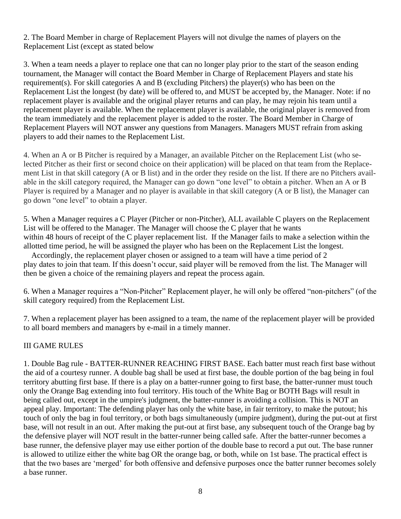2. The Board Member in charge of Replacement Players will not divulge the names of players on the Replacement List (except as stated below

3. When a team needs a player to replace one that can no longer play prior to the start of the season ending tournament, the Manager will contact the Board Member in Charge of Replacement Players and state his requirement(s). For skill categories A and B (excluding Pitchers) the player(s) who has been on the Replacement List the longest (by date) will be offered to, and MUST be accepted by, the Manager. Note: if no replacement player is available and the original player returns and can play, he may rejoin his team until a replacement player is available. When the replacement player is available, the original player is removed from the team immediately and the replacement player is added to the roster. The Board Member in Charge of Replacement Players will NOT answer any questions from Managers. Managers MUST refrain from asking players to add their names to the Replacement List.

4. When an A or B Pitcher is required by a Manager, an available Pitcher on the Replacement List (who selected Pitcher as their first or second choice on their application) will be placed on that team from the Replacement List in that skill category (A or B list) and in the order they reside on the list. If there are no Pitchers available in the skill category required, the Manager can go down "one level" to obtain a pitcher. When an A or B Player is required by a Manager and no player is available in that skill category (A or B list), the Manager can go down "one level" to obtain a player.

5. When a Manager requires a C Player (Pitcher or non-Pitcher), ALL available C players on the Replacement List will be offered to the Manager. The Manager will choose the C player that he wants within 48 hours of receipt of the C player replacement list. If the Manager fails to make a selection within the allotted time period, he will be assigned the player who has been on the Replacement List the longest.

 Accordingly, the replacement player chosen or assigned to a team will have a time period of 2 play dates to join that team. If this doesn't occur, said player will be removed from the list. The Manager will then be given a choice of the remaining players and repeat the process again.

6. When a Manager requires a "Non-Pitcher" Replacement player, he will only be offered "non-pitchers" (of the skill category required) from the Replacement List.

7. When a replacement player has been assigned to a team, the name of the replacement player will be provided to all board members and managers by e-mail in a timely manner.

# III GAME RULES

1. Double Bag rule - BATTER-RUNNER REACHING FIRST BASE. Each batter must reach first base without the aid of a courtesy runner. A double bag shall be used at first base, the double portion of the bag being in foul territory abutting first base. If there is a play on a batter-runner going to first base, the batter-runner must touch only the Orange Bag extending into foul territory. His touch of the White Bag or BOTH Bags will result in being called out, except in the umpire's judgment, the batter-runner is avoiding a collision. This is NOT an appeal play. Important: The defending player has only the white base, in fair territory, to make the putout; his touch of only the bag in foul territory, or both bags simultaneously (umpire judgment), during the put-out at first base, will not result in an out. After making the put-out at first base, any subsequent touch of the Orange bag by the defensive player will NOT result in the batter-runner being called safe. After the batter-runner becomes a base runner, the defensive player may use either portion of the double base to record a put out. The base runner is allowed to utilize either the white bag OR the orange bag, or both, while on 1st base. The practical effect is that the two bases are 'merged' for both offensive and defensive purposes once the batter runner becomes solely a base runner.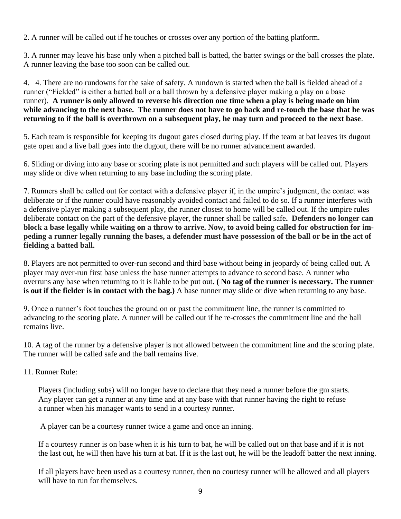2. A runner will be called out if he touches or crosses over any portion of the batting platform.

3. A runner may leave his base only when a pitched ball is batted, the batter swings or the ball crosses the plate. A runner leaving the base too soon can be called out.

4. 4. There are no rundowns for the sake of safety. A rundown is started when the ball is fielded ahead of a runner ("Fielded" is either a batted ball or a ball thrown by a defensive player making a play on a base runner). **A runner is only allowed to reverse his direction one time when a play is being made on him while advancing to the next base. The runner does not have to go back and re-touch the base that he was returning to if the ball is overthrown on a subsequent play, he may turn and proceed to the next base**.

5. Each team is responsible for keeping its dugout gates closed during play. If the team at bat leaves its dugout gate open and a live ball goes into the dugout, there will be no runner advancement awarded.

6. Sliding or diving into any base or scoring plate is not permitted and such players will be called out. Players may slide or dive when returning to any base including the scoring plate.

7. Runners shall be called out for contact with a defensive player if, in the umpire's judgment, the contact was deliberate or if the runner could have reasonably avoided contact and failed to do so. If a runner interferes with a defensive player making a subsequent play, the runner closest to home will be called out. If the umpire rules deliberate contact on the part of the defensive player, the runner shall be called safe**. Defenders no longer can block a base legally while waiting on a throw to arrive. Now, to avoid being called for obstruction for impeding a runner legally running the bases, a defender must have possession of the ball or be in the act of fielding a batted ball.**

8. Players are not permitted to over-run second and third base without being in jeopardy of being called out. A player may over-run first base unless the base runner attempts to advance to second base. A runner who overruns any base when returning to it is liable to be put out**. ( No tag of the runner is necessary. The runner is out if the fielder is in contact with the bag.)** A base runner may slide or dive when returning to any base.

9. Once a runner's foot touches the ground on or past the commitment line, the runner is committed to advancing to the scoring plate. A runner will be called out if he re-crosses the commitment line and the ball remains live.

10. A tag of the runner by a defensive player is not allowed between the commitment line and the scoring plate. The runner will be called safe and the ball remains live.

# 11. Runner Rule:

Players (including subs) will no longer have to declare that they need a runner before the gm starts. Any player can get a runner at any time and at any base with that runner having the right to refuse a runner when his manager wants to send in a courtesy runner.

A player can be a courtesy runner twice a game and once an inning.

If a courtesy runner is on base when it is his turn to bat, he will be called out on that base and if it is not the last out, he will then have his turn at bat. If it is the last out, he will be the leadoff batter the next inning.

If all players have been used as a courtesy runner, then no courtesy runner will be allowed and all players will have to run for themselves.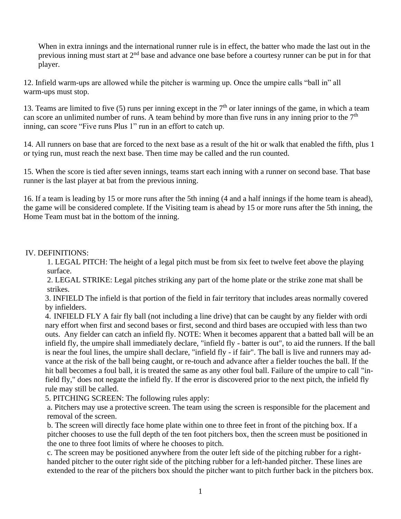When in extra innings and the international runner rule is in effect, the batter who made the last out in the previous inning must start at 2nd base and advance one base before a courtesy runner can be put in for that player.

12. Infield warm-ups are allowed while the pitcher is warming up. Once the umpire calls "ball in" all warm-ups must stop.

13. Teams are limited to five (5) runs per inning except in the  $7<sup>th</sup>$  or later innings of the game, in which a team can score an unlimited number of runs. A team behind by more than five runs in any inning prior to the  $7<sup>th</sup>$ inning, can score "Five runs Plus 1" run in an effort to catch up.

14. All runners on base that are forced to the next base as a result of the hit or walk that enabled the fifth, plus 1 or tying run, must reach the next base. Then time may be called and the run counted.

15. When the score is tied after seven innings, teams start each inning with a runner on second base. That base runner is the last player at bat from the previous inning.

16. If a team is leading by 15 or more runs after the 5th inning (4 and a half innings if the home team is ahead), the game will be considered complete. If the Visiting team is ahead by 15 or more runs after the 5th inning, the Home Team must bat in the bottom of the inning.

# IV. DEFINITIONS:

1. LEGAL PITCH: The height of a legal pitch must be from six feet to twelve feet above the playing surface.

2. LEGAL STRIKE: Legal pitches striking any part of the home plate or the strike zone mat shall be strikes.

3. INFIELD The infield is that portion of the field in fair territory that includes areas normally covered by infielders.

4. INFIELD FLY A fair fly ball (not including a line drive) that can be caught by any fielder with ordi nary effort when first and second bases or first, second and third bases are occupied with less than two outs. Any fielder can catch an infield fly. NOTE: When it becomes apparent that a batted ball will be an infield fly, the umpire shall immediately declare, "infield fly - batter is out", to aid the runners. If the ball is near the foul lines, the umpire shall declare, "infield fly - if fair". The ball is live and runners may advance at the risk of the ball being caught, or re-touch and advance after a fielder touches the ball. If the hit ball becomes a foul ball, it is treated the same as any other foul ball. Failure of the umpire to call "infield fly," does not negate the infield fly. If the error is discovered prior to the next pitch, the infield fly rule may still be called.

5. PITCHING SCREEN: The following rules apply:

a. Pitchers may use a protective screen. The team using the screen is responsible for the placement and removal of the screen.

b. The screen will directly face home plate within one to three feet in front of the pitching box. If a pitcher chooses to use the full depth of the ten foot pitchers box, then the screen must be positioned in the one to three foot limits of where he chooses to pitch.

c. The screen may be positioned anywhere from the outer left side of the pitching rubber for a righthanded pitcher to the outer right side of the pitching rubber for a left-handed pitcher. These lines are extended to the rear of the pitchers box should the pitcher want to pitch further back in the pitchers box.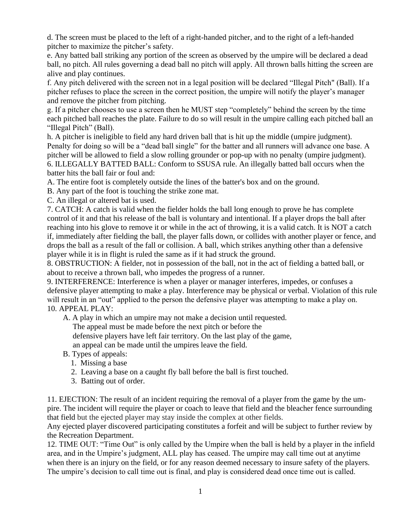d. The screen must be placed to the left of a right-handed pitcher, and to the right of a left-handed pitcher to maximize the pitcher's safety.

e. Any batted ball striking any portion of the screen as observed by the umpire will be declared a dead ball, no pitch. All rules governing a dead ball no pitch will apply. All thrown balls hitting the screen are alive and play continues.

f. Any pitch delivered with the screen not in a legal position will be declared "Illegal Pitch" (Ball). If a pitcher refuses to place the screen in the correct position, the umpire will notify the player's manager and remove the pitcher from pitching.

g. If a pitcher chooses to use a screen then he MUST step "completely" behind the screen by the time each pitched ball reaches the plate. Failure to do so will result in the umpire calling each pitched ball an "Illegal Pitch" (Ball).

h. A pitcher is ineligible to field any hard driven ball that is hit up the middle (umpire judgment). Penalty for doing so will be a "dead ball single" for the batter and all runners will advance one base. A pitcher will be allowed to field a slow rolling grounder or pop-up with no penalty (umpire judgment). 6. ILLEGALLY BATTED BALL: Conform to SSUSA rule. An illegally batted ball occurs when the batter hits the ball fair or foul and:

A. The entire foot is completely outside the lines of the batter's box and on the ground.

B. Any part of the foot is touching the strike zone mat.

C. An illegal or altered bat is used.

7. CATCH: A catch is valid when the fielder holds the ball long enough to prove he has complete control of it and that his release of the ball is voluntary and intentional. If a player drops the ball after reaching into his glove to remove it or while in the act of throwing, it is a valid catch. It is NOT a catch if, immediately after fielding the ball, the player falls down, or collides with another player or fence, and drops the ball as a result of the fall or collision. A ball, which strikes anything other than a defensive player while it is in flight is ruled the same as if it had struck the ground.

8. OBSTRUCTION: A fielder, not in possession of the ball, not in the act of fielding a batted ball, or about to receive a thrown ball, who impedes the progress of a runner.

9. INTERFERENCE: Interference is when a player or manager interferes, impedes, or confuses a defensive player attempting to make a play. Interference may be physical or verbal. Violation of this rule will result in an "out" applied to the person the defensive player was attempting to make a play on. 10. APPEAL PLAY:

A. A play in which an umpire may not make a decision until requested.

The appeal must be made before the next pitch or before the

defensive players have left fair territory. On the last play of the game,

an appeal can be made until the umpires leave the field.

B. Types of appeals:

- 1. Missing a base
- 2. Leaving a base on a caught fly ball before the ball is first touched.
- 3. Batting out of order.

11. EJECTION: The result of an incident requiring the removal of a player from the game by the umpire. The incident will require the player or coach to leave that field and the bleacher fence surrounding that field but the ejected player may stay inside the complex at other fields.

Any ejected player discovered participating constitutes a forfeit and will be subject to further review by the Recreation Department.

12. TIME OUT: "Time Out" is only called by the Umpire when the ball is held by a player in the infield area, and in the Umpire's judgment, ALL play has ceased. The umpire may call time out at anytime when there is an injury on the field, or for any reason deemed necessary to insure safety of the players. The umpire's decision to call time out is final, and play is considered dead once time out is called.